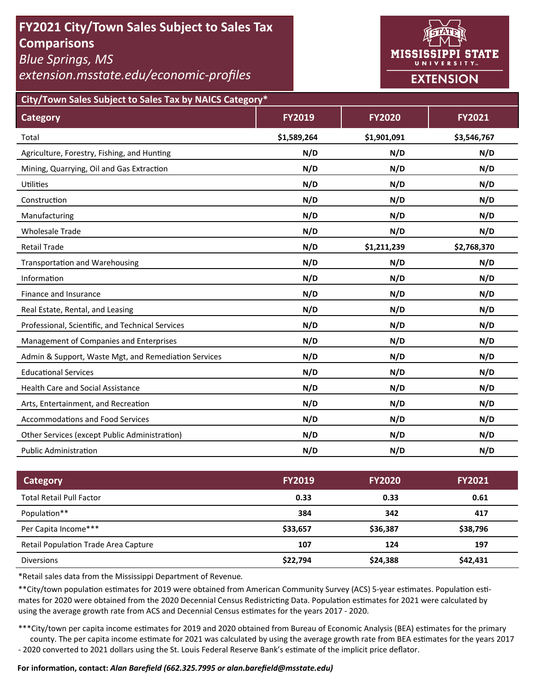# **FY2021 City/Town Sales Subject to Sales Tax Comparisons**

*Blue Springs, MS* 

*extension.msstate.edu/economic‐profiles* 



**City/Town Sales Subject to Sales Tax by NAICS Category\***

| <b>Category</b>                                      | <b>FY2019</b> | <b>FY2020</b> | FY2021      |
|------------------------------------------------------|---------------|---------------|-------------|
| Total                                                | \$1,589,264   | \$1,901,091   | \$3,546,767 |
| Agriculture, Forestry, Fishing, and Hunting          | N/D           | N/D           | N/D         |
| Mining, Quarrying, Oil and Gas Extraction            | N/D           | N/D           | N/D         |
| <b>Utilities</b>                                     | N/D           | N/D           | N/D         |
| Construction                                         | N/D           | N/D           | N/D         |
| Manufacturing                                        | N/D           | N/D           | N/D         |
| <b>Wholesale Trade</b>                               | N/D           | N/D           | N/D         |
| <b>Retail Trade</b>                                  | N/D           | \$1,211,239   | \$2,768,370 |
| <b>Transportation and Warehousing</b>                | N/D           | N/D           | N/D         |
| Information                                          | N/D           | N/D           | N/D         |
| Finance and Insurance                                | N/D           | N/D           | N/D         |
| Real Estate, Rental, and Leasing                     | N/D           | N/D           | N/D         |
| Professional, Scientific, and Technical Services     | N/D           | N/D           | N/D         |
| Management of Companies and Enterprises              | N/D           | N/D           | N/D         |
| Admin & Support, Waste Mgt, and Remediation Services | N/D           | N/D           | N/D         |
| <b>Educational Services</b>                          | N/D           | N/D           | N/D         |
| <b>Health Care and Social Assistance</b>             | N/D           | N/D           | N/D         |
| Arts, Entertainment, and Recreation                  | N/D           | N/D           | N/D         |
| <b>Accommodations and Food Services</b>              | N/D           | N/D           | N/D         |
| Other Services (except Public Administration)        | N/D           | N/D           | N/D         |
| <b>Public Administration</b>                         | N/D           | N/D           | N/D         |

| Category                             | <b>FY2019</b> | <b>FY2020</b> | <b>FY2021</b> |
|--------------------------------------|---------------|---------------|---------------|
| <b>Total Retail Pull Factor</b>      | 0.33          | 0.33          | 0.61          |
| Population**                         | 384           | 342           | 417           |
| Per Capita Income***                 | \$33,657      | \$36,387      | \$38,796      |
| Retail Population Trade Area Capture | 107           | 124           | 197           |
| <b>Diversions</b>                    | \$22,794      | \$24,388      | \$42,431      |

\*Retail sales data from the Mississippi Department of Revenue*.* 

\*\*City/town population estimates for 2019 were obtained from American Community Survey (ACS) 5-year estimates. Population estimates for 2020 were obtained from the 2020 Decennial Census Redistricting Data. Population estimates for 2021 were calculated by using the average growth rate from ACS and Decennial Census estimates for the years 2017 - 2020.

\*\*\*City/town per capita income estimates for 2019 and 2020 obtained from Bureau of Economic Analysis (BEA) estimates for the primary county. The per capita income estimate for 2021 was calculated by using the average growth rate from BEA estimates for the years 2017 - 2020 converted to 2021 dollars using the St. Louis Federal Reserve Bank's estimate of the implicit price deflator.

### **For informaƟon, contact:** *Alan Barefield (662.325.7995 or alan.barefield@msstate.edu)*